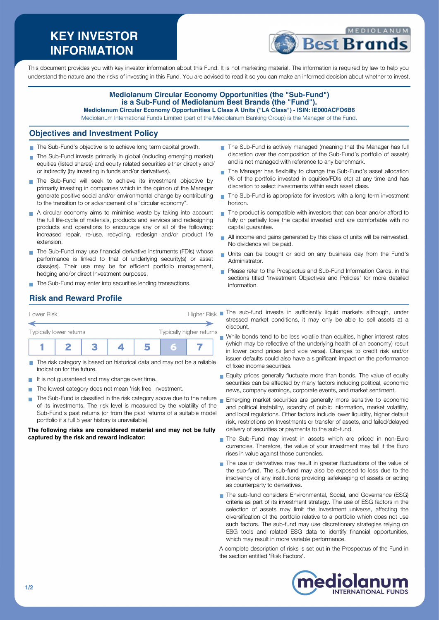# **KEY INVESTOR INFORMATION**



This document provides you with key investor information about this Fund. It is not marketing material. The information is required by law to help you understand the nature and the risks of investing in this Fund. You are advised to read it so you can make an informed decision about whether to invest.

#### **Mediolanum Circular Economy Opportunities (the "Sub-Fund") is a Sub-Fund of Mediolanum Best Brands (the "Fund"). Mediolanum Circular Economy Opportunities L Class A Units ("LA Class") - ISIN: IE000ACFO6B6**

Mediolanum International Funds Limited (part of the Mediolanum Banking Group) is the Manager of the Fund.

#### **Objectives and Investment Policy**

- The Sub-Fund's objective is to achieve long term capital growth.
- The Sub-Fund invests primarily in global (including emerging market) equities (listed shares) and equity related securities either directly and/ or indirectly (by investing in funds and/or derivatives).
- The Sub-Fund will seek to achieve its investment objective by primarily investing in companies which in the opinion of the Manager generate positive social and/or environmental change by contributing to the transition to or advancement of a "circular economy".
- A circular economy aims to minimise waste by taking into account the full life-cycle of materials, products and services and redesigning products and operations to encourage any or all of the following: increased repair, re-use, recycling, redesign and/or product life extension.
- The Sub-Fund may use financial derivative instruments (FDIs) whose performance is linked to that of underlying security(s) or asset class(es). Their use may be for efficient portfolio management, hedging and/or direct Investment purposes.
- The Sub-Fund may enter into securities lending transactions.
- The Sub-Fund is actively managed (meaning that the Manager has full discretion over the composition of the Sub-Fund's portfolio of assets) and is not managed with reference to any benchmark.
- The Manager has flexibility to change the Sub-Fund's asset allocation (% of the portfolio invested in equities/FDIs etc) at any time and has discretion to select investments within each asset class.
- $\mathbf{r}$ The Sub-Fund is appropriate for investors with a long term investment horizon.
- $\blacksquare$  The product is compatible with investors that can bear and/or afford to fully or partially lose the capital invested and are comfortable with no capital guarantee.
- All income and gains generated by this class of units will be reinvested. No dividends will be paid.
- Units can be bought or sold on any business day from the Fund's Administrator.
- **Please refer to the Prospectus and Sub-Fund Information Cards, in the** sections titled 'Investment Objectives and Policies' for more detailed information.

## **Risk and Reward Profile**

| Lower Risk              |  | <b>Higher Risk</b> |                          |   |  |  |
|-------------------------|--|--------------------|--------------------------|---|--|--|
| Typically lower returns |  |                    | Typically higher returns |   |  |  |
|                         |  |                    |                          | ы |  |  |

- The risk category is based on historical data and may not be a reliable **COL** indication for the future.
- It is not guaranteed and may change over time.
- The lowest category does not mean 'risk free' investment.  $\mathcal{L}_{\mathcal{A}}$
- The Sub-Fund is classified in the risk category above due to the nature  $_{\blacksquare}$  Emerging market securities are generally more sensitive to economic of its investments. The risk level is measured by the volatility of the Sub-Fund's past returns (or from the past returns of a suitable model portfolio if a full 5 year history is unavailable).

**The following risks are considered material and may not be fully captured by the risk and reward indicator:**

- The sub-fund invests in sufficiently liquid markets although, under stressed market conditions, it may only be able to sell assets at a discount.
- While bonds tend to be less volatile than equities, higher interest rates (which may be reflective of the underlying health of an economy) result in lower bond prices (and vice versa). Changes to credit risk and/or issuer defaults could also have a significant impact on the performance of fixed income securities.
- Equity prices generally fluctuate more than bonds. The value of equity securities can be affected by many factors including political, economic news, company earnings, corporate events, and market sentiment.
- and political instability, scarcity of public information, market volatility, and local regulations. Other factors include lower liquidity, higher default risk, restrictions on Investments or transfer of assets, and failed/delayed delivery of securities or payments to the sub-fund.
- The Sub-Fund may invest in assets which are priced in non-Euro currencies. Therefore, the value of your investment may fall if the Euro rises in value against those currencies.
- The use of derivatives may result in greater fluctuations of the value of the sub-fund. The sub-fund may also be exposed to loss due to the insolvency of any institutions providing safekeeping of assets or acting as counterparty to derivatives.
- The sub-fund considers Environmental, Social, and Governance (ESG) criteria as part of its investment strategy. The use of ESG factors in the selection of assets may limit the investment universe, affecting the diversification of the portfolio relative to a portfolio which does not use such factors. The sub-fund may use discretionary strategies relying on ESG tools and related ESG data to identify financial opportunities, which may result in more variable performance.

A complete description of risks is set out in the Prospectus of the Fund in the section entitled 'Risk Factors'.